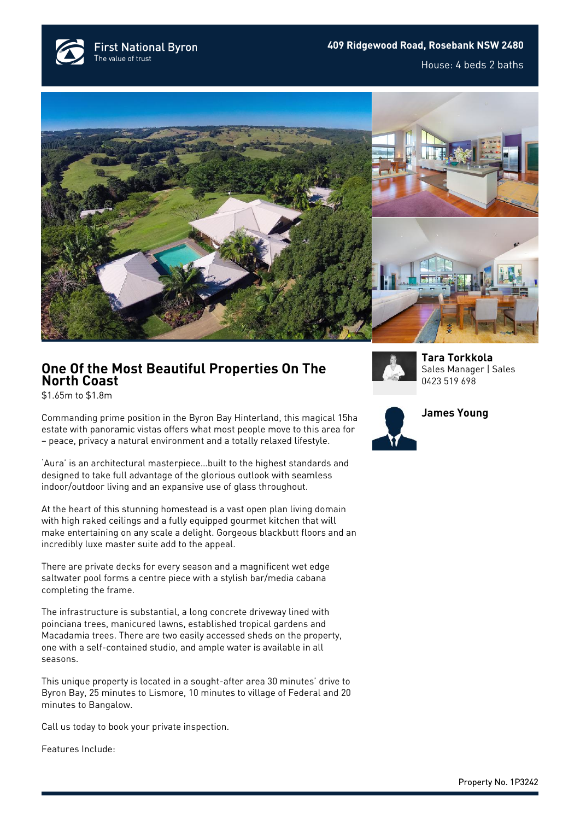**First National Byron** The value of trust





## **One Of the Most Beautiful Properties On The North Coast**

\$1.65m to \$1.8m

Commanding prime position in the Byron Bay Hinterland, this magical 15ha estate with panoramic vistas offers what most people move to this area for – peace, privacy a natural environment and a totally relaxed lifestyle.

'Aura' is an architectural masterpiece…built to the highest standards and designed to take full advantage of the glorious outlook with seamless indoor/outdoor living and an expansive use of glass throughout.

At the heart of this stunning homestead is a vast open plan living domain with high raked ceilings and a fully equipped gourmet kitchen that will make entertaining on any scale a delight. Gorgeous blackbutt floors and an incredibly luxe master suite add to the appeal.

There are private decks for every season and a magnificent wet edge saltwater pool forms a centre piece with a stylish bar/media cabana completing the frame.

The infrastructure is substantial, a long concrete driveway lined with poinciana trees, manicured lawns, established tropical gardens and Macadamia trees. There are two easily accessed sheds on the property, one with a self-contained studio, and ample water is available in all seasons.

This unique property is located in a sought-after area 30 minutes' drive to Byron Bay, 25 minutes to Lismore, 10 minutes to village of Federal and 20 minutes to Bangalow.

Call us today to book your private inspection.

Features Include:



**[Tara Torkkola](https://www.byronbayfn.com.au/agents/tara-torkkola/)** Sales Manager | Sales [0423 519 698](#page--1-0)

**[James Young](https://www.byronbayfn.com.au/agents/)**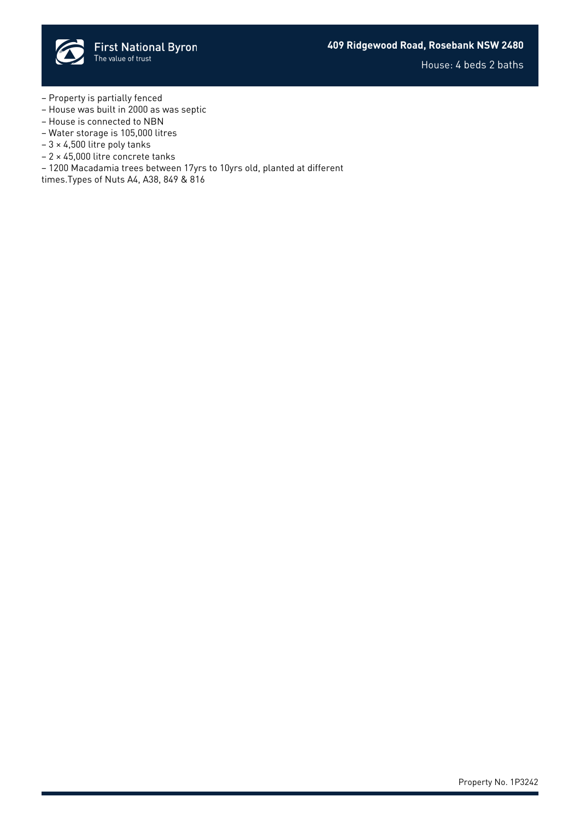

House: 4 beds 2 baths

- Property is partially fenced
- House was built in 2000 as was septic
- House is connected to NBN
- Water storage is 105,000 litres
- $-3 \times 4,500$  litre poly tanks
- 2 × 45,000 litre concrete tanks
- 1200 Macadamia trees between 17yrs to 10yrs old, planted at different

times.Types of Nuts A4, A38, 849 & 816